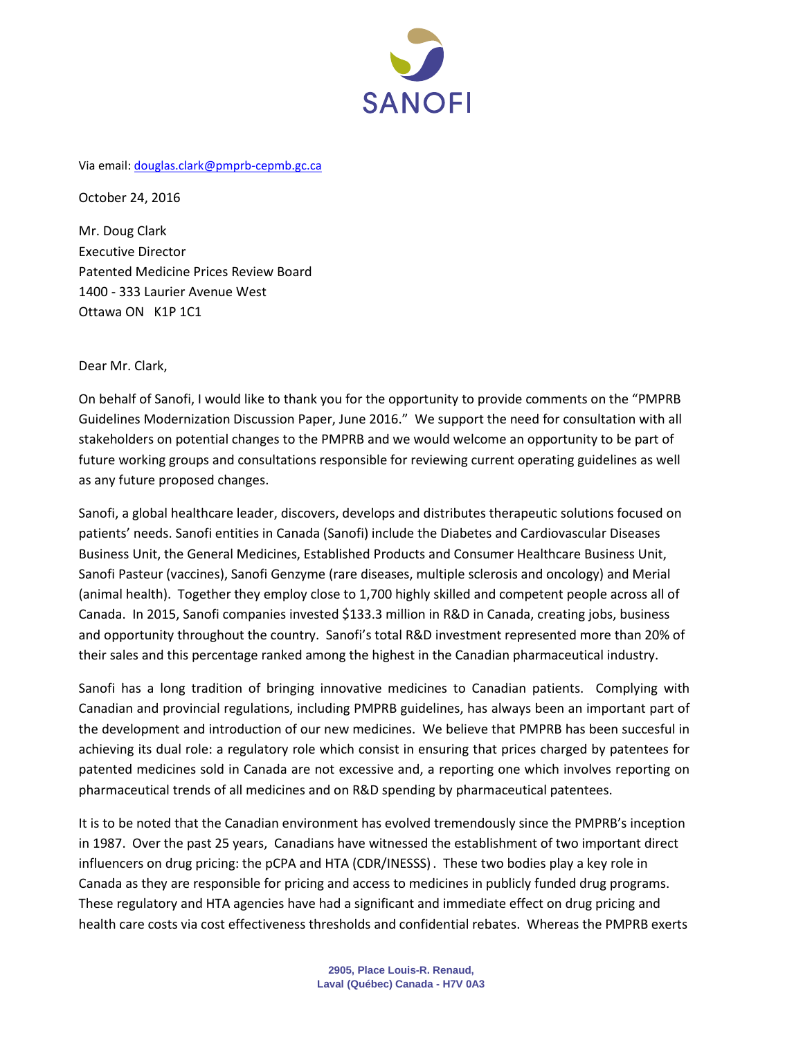

Via email: [douglas.clark@pmprb-cepmb.gc.ca](mailto:douglas.clark@pmprb-cepmb.gc.ca)

October 24, 2016

Mr. Doug Clark Executive Director Patented Medicine Prices Review Board 1400 - 333 Laurier Avenue West Ottawa ON K1P 1C1

Dear Mr. Clark,

On behalf of Sanofi, I would like to thank you for the opportunity to provide comments on the "PMPRB Guidelines Modernization Discussion Paper, June 2016." We support the need for consultation with all stakeholders on potential changes to the PMPRB and we would welcome an opportunity to be part of future working groups and consultations responsible for reviewing current operating guidelines as well as any future proposed changes.

Sanofi, a global healthcare leader, discovers, develops and distributes therapeutic solutions focused on patients' needs. Sanofi entities in Canada (Sanofi) include the Diabetes and Cardiovascular Diseases Business Unit, the General Medicines, Established Products and Consumer Healthcare Business Unit, Sanofi Pasteur (vaccines), Sanofi Genzyme (rare diseases, multiple sclerosis and oncology) and Merial (animal health). Together they employ close to 1,700 highly skilled and competent people across all of Canada. In 2015, Sanofi companies invested \$133.3 million in R&D in Canada, creating jobs, business and opportunity throughout the country. Sanofi's total R&D investment represented more than 20% of their sales and this percentage ranked among the highest in the Canadian pharmaceutical industry.

Sanofi has a long tradition of bringing innovative medicines to Canadian patients. Complying with Canadian and provincial regulations, including PMPRB guidelines, has always been an important part of the development and introduction of our new medicines. We believe that PMPRB has been succesful in achieving its dual role: a regulatory role which consist in ensuring that prices charged by patentees for patented medicines sold in Canada are not excessive and, a reporting one which involves reporting on pharmaceutical trends of all medicines and on R&D spending by pharmaceutical patentees.

It is to be noted that the Canadian environment has evolved tremendously since the PMPRB's inception in 1987. Over the past 25 years, Canadians have witnessed the establishment of two important direct influencers on drug pricing: the pCPA and HTA (CDR/INESSS). These two bodies play a key role in Canada as they are responsible for pricing and access to medicines in publicly funded drug programs. These regulatory and HTA agencies have had a significant and immediate effect on drug pricing and health care costs via cost effectiveness thresholds and confidential rebates. Whereas the PMPRB exerts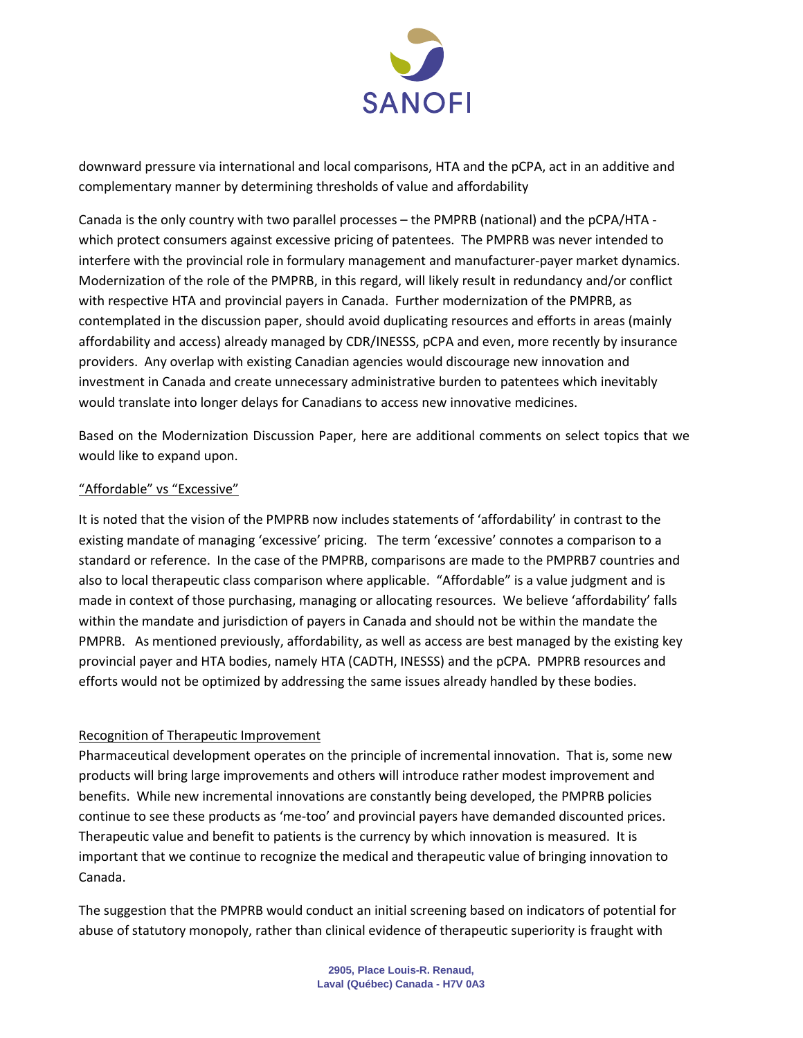

downward pressure via international and local comparisons, HTA and the pCPA, act in an additive and complementary manner by determining thresholds of value and affordability

Canada is the only country with two parallel processes – the PMPRB (national) and the pCPA/HTA which protect consumers against excessive pricing of patentees. The PMPRB was never intended to interfere with the provincial role in formulary management and manufacturer-payer market dynamics. Modernization of the role of the PMPRB, in this regard, will likely result in redundancy and/or conflict with respective HTA and provincial payers in Canada. Further modernization of the PMPRB, as contemplated in the discussion paper, should avoid duplicating resources and efforts in areas (mainly affordability and access) already managed by CDR/INESSS, pCPA and even, more recently by insurance providers. Any overlap with existing Canadian agencies would discourage new innovation and investment in Canada and create unnecessary administrative burden to patentees which inevitably would translate into longer delays for Canadians to access new innovative medicines.

Based on the Modernization Discussion Paper, here are additional comments on select topics that we would like to expand upon.

## "Affordable" vs "Excessive"

It is noted that the vision of the PMPRB now includes statements of 'affordability' in contrast to the existing mandate of managing 'excessive' pricing. The term 'excessive' connotes a comparison to a standard or reference. In the case of the PMPRB, comparisons are made to the PMPRB7 countries and also to local therapeutic class comparison where applicable. "Affordable" is a value judgment and is made in context of those purchasing, managing or allocating resources. We believe 'affordability' falls within the mandate and jurisdiction of payers in Canada and should not be within the mandate the PMPRB. As mentioned previously, affordability, as well as access are best managed by the existing key provincial payer and HTA bodies, namely HTA (CADTH, INESSS) and the pCPA. PMPRB resources and efforts would not be optimized by addressing the same issues already handled by these bodies.

## Recognition of Therapeutic Improvement

Pharmaceutical development operates on the principle of incremental innovation. That is, some new products will bring large improvements and others will introduce rather modest improvement and benefits. While new incremental innovations are constantly being developed, the PMPRB policies continue to see these products as 'me-too' and provincial payers have demanded discounted prices. Therapeutic value and benefit to patients is the currency by which innovation is measured. It is important that we continue to recognize the medical and therapeutic value of bringing innovation to Canada.

The suggestion that the PMPRB would conduct an initial screening based on indicators of potential for abuse of statutory monopoly, rather than clinical evidence of therapeutic superiority is fraught with